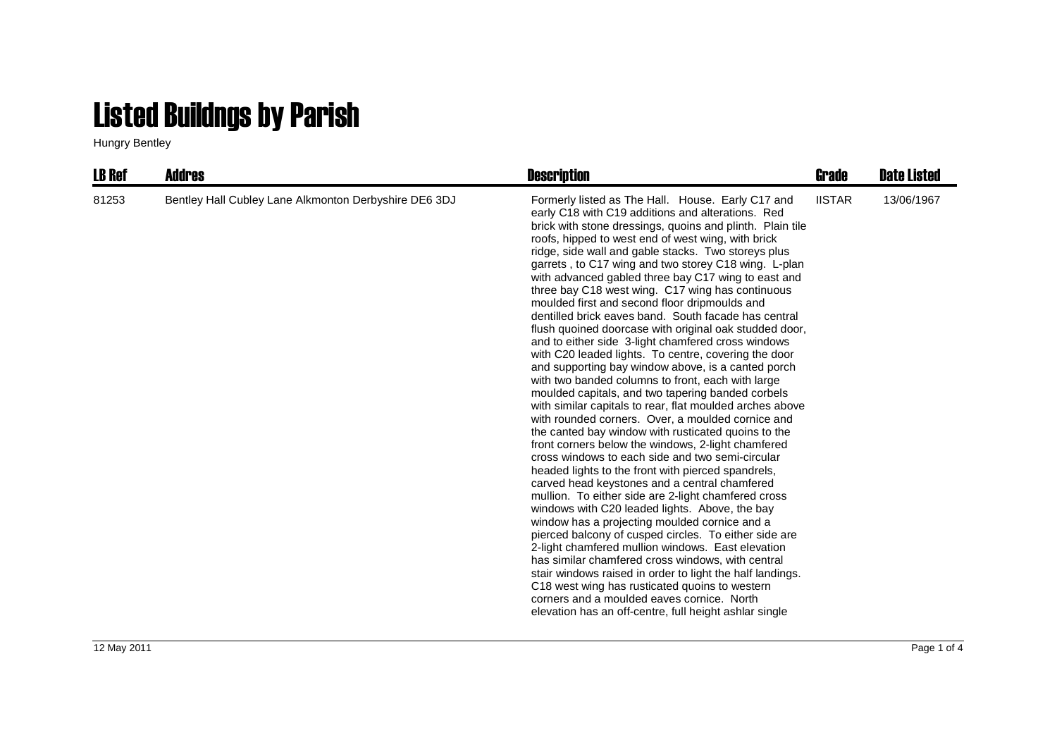## Listed Buildngs by Parish

Hungry Bentley

| <b>LB Ref</b> | <b>Addres</b>                                         | <b>Description</b>                                                                                                                                                                                                                                                                                                                                                                                                                                                                                                                                                                                                                                                                                                                                                                                                                                                                                                                                                                                                                                                                                                                                                                                                                                                                                                                                                                                                                                                                                                                                                                                                                                                                                                                                                                                                                                | Grade         | <b>Date Listed</b> |
|---------------|-------------------------------------------------------|---------------------------------------------------------------------------------------------------------------------------------------------------------------------------------------------------------------------------------------------------------------------------------------------------------------------------------------------------------------------------------------------------------------------------------------------------------------------------------------------------------------------------------------------------------------------------------------------------------------------------------------------------------------------------------------------------------------------------------------------------------------------------------------------------------------------------------------------------------------------------------------------------------------------------------------------------------------------------------------------------------------------------------------------------------------------------------------------------------------------------------------------------------------------------------------------------------------------------------------------------------------------------------------------------------------------------------------------------------------------------------------------------------------------------------------------------------------------------------------------------------------------------------------------------------------------------------------------------------------------------------------------------------------------------------------------------------------------------------------------------------------------------------------------------------------------------------------------------|---------------|--------------------|
| 81253         | Bentley Hall Cubley Lane Alkmonton Derbyshire DE6 3DJ | Formerly listed as The Hall. House. Early C17 and<br>early C18 with C19 additions and alterations. Red<br>brick with stone dressings, quoins and plinth. Plain tile<br>roofs, hipped to west end of west wing, with brick<br>ridge, side wall and gable stacks. Two storeys plus<br>garrets, to C17 wing and two storey C18 wing. L-plan<br>with advanced gabled three bay C17 wing to east and<br>three bay C18 west wing. C17 wing has continuous<br>moulded first and second floor dripmoulds and<br>dentilled brick eaves band. South facade has central<br>flush quoined doorcase with original oak studded door,<br>and to either side 3-light chamfered cross windows<br>with C20 leaded lights. To centre, covering the door<br>and supporting bay window above, is a canted porch<br>with two banded columns to front, each with large<br>moulded capitals, and two tapering banded corbels<br>with similar capitals to rear, flat moulded arches above<br>with rounded corners. Over, a moulded cornice and<br>the canted bay window with rusticated quoins to the<br>front corners below the windows, 2-light chamfered<br>cross windows to each side and two semi-circular<br>headed lights to the front with pierced spandrels,<br>carved head keystones and a central chamfered<br>mullion. To either side are 2-light chamfered cross<br>windows with C20 leaded lights. Above, the bay<br>window has a projecting moulded cornice and a<br>pierced balcony of cusped circles. To either side are<br>2-light chamfered mullion windows. East elevation<br>has similar chamfered cross windows, with central<br>stair windows raised in order to light the half landings.<br>C18 west wing has rusticated quoins to western<br>corners and a moulded eaves cornice. North<br>elevation has an off-centre, full height ashlar single | <b>IISTAR</b> | 13/06/1967         |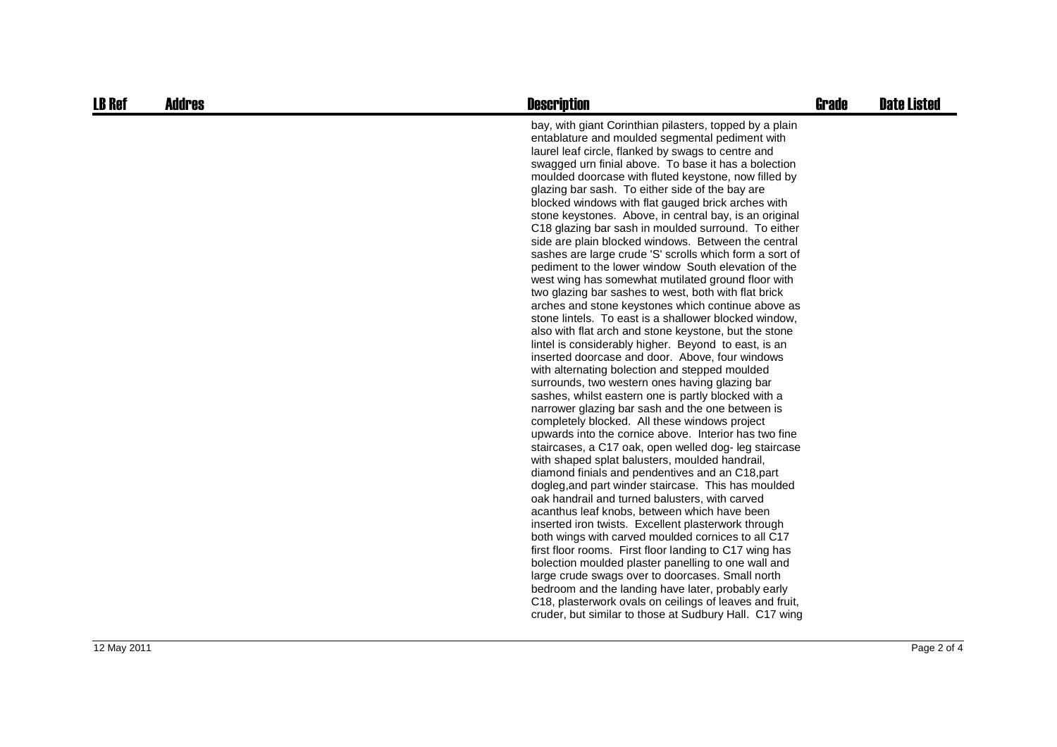| <b>LB Ref</b> | <b>Addres</b> | <b>Description</b>                                                                                                                                                                                                                                                                                                                                                                                                                                                                                                                                                                                                                                                                                                                                                                                                                                                                                                                                                                                                                                                                                                                                                                                                                                                                                                                                                                                                                                                                                                                                                                                                                                                                                                                                                                                                                                                                                                                                                                                                                                                                                                                                                                                 | <b>Grade</b> | <b>Date Listed</b> |
|---------------|---------------|----------------------------------------------------------------------------------------------------------------------------------------------------------------------------------------------------------------------------------------------------------------------------------------------------------------------------------------------------------------------------------------------------------------------------------------------------------------------------------------------------------------------------------------------------------------------------------------------------------------------------------------------------------------------------------------------------------------------------------------------------------------------------------------------------------------------------------------------------------------------------------------------------------------------------------------------------------------------------------------------------------------------------------------------------------------------------------------------------------------------------------------------------------------------------------------------------------------------------------------------------------------------------------------------------------------------------------------------------------------------------------------------------------------------------------------------------------------------------------------------------------------------------------------------------------------------------------------------------------------------------------------------------------------------------------------------------------------------------------------------------------------------------------------------------------------------------------------------------------------------------------------------------------------------------------------------------------------------------------------------------------------------------------------------------------------------------------------------------------------------------------------------------------------------------------------------------|--------------|--------------------|
|               |               | bay, with giant Corinthian pilasters, topped by a plain<br>entablature and moulded segmental pediment with<br>laurel leaf circle, flanked by swags to centre and<br>swagged urn finial above. To base it has a bolection<br>moulded doorcase with fluted keystone, now filled by<br>glazing bar sash. To either side of the bay are<br>blocked windows with flat gauged brick arches with<br>stone keystones. Above, in central bay, is an original<br>C18 glazing bar sash in moulded surround. To either<br>side are plain blocked windows. Between the central<br>sashes are large crude 'S' scrolls which form a sort of<br>pediment to the lower window South elevation of the<br>west wing has somewhat mutilated ground floor with<br>two glazing bar sashes to west, both with flat brick<br>arches and stone keystones which continue above as<br>stone lintels. To east is a shallower blocked window,<br>also with flat arch and stone keystone, but the stone<br>lintel is considerably higher. Beyond to east, is an<br>inserted doorcase and door. Above, four windows<br>with alternating bolection and stepped moulded<br>surrounds, two western ones having glazing bar<br>sashes, whilst eastern one is partly blocked with a<br>narrower glazing bar sash and the one between is<br>completely blocked. All these windows project<br>upwards into the cornice above. Interior has two fine<br>staircases, a C17 oak, open welled dog- leg staircase<br>with shaped splat balusters, moulded handrail,<br>diamond finials and pendentives and an C18, part<br>dogleg, and part winder staircase. This has moulded<br>oak handrail and turned balusters, with carved<br>acanthus leaf knobs, between which have been<br>inserted iron twists. Excellent plasterwork through<br>both wings with carved moulded cornices to all C17<br>first floor rooms. First floor landing to C17 wing has<br>bolection moulded plaster panelling to one wall and<br>large crude swags over to doorcases. Small north<br>bedroom and the landing have later, probably early<br>C18, plasterwork ovals on ceilings of leaves and fruit,<br>cruder, but similar to those at Sudbury Hall. C17 wing |              |                    |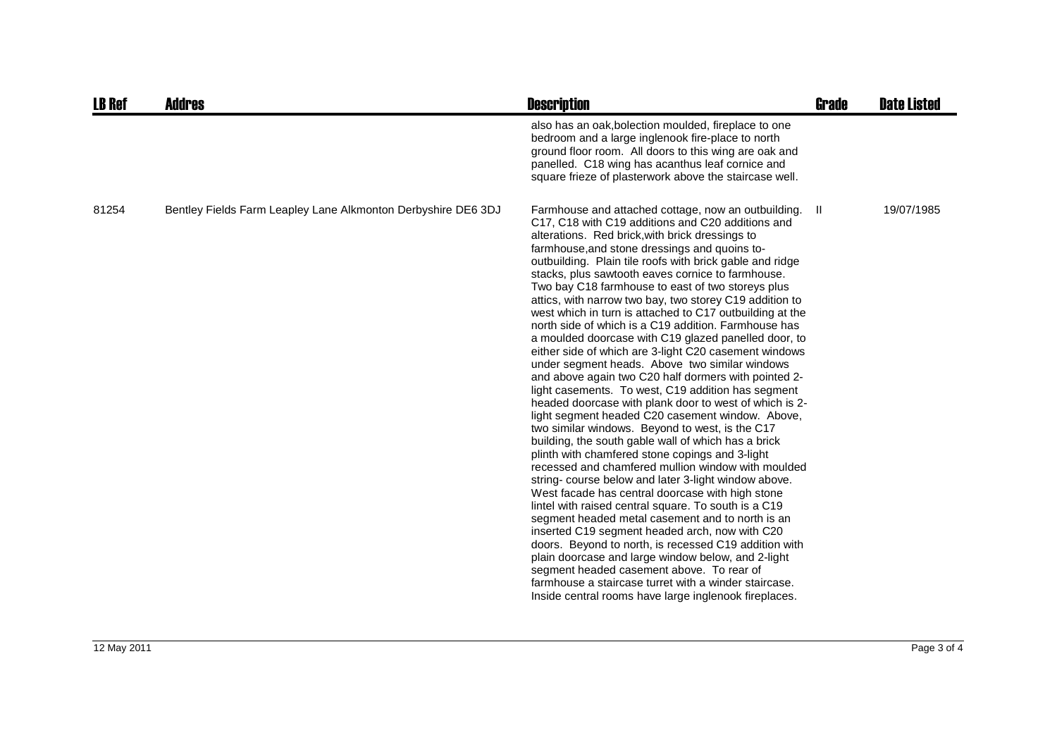| <b>LB Ref</b> | <b>Addres</b>                                                 | <b>Description</b>                                                                                                                                                                                                                                                                                                                                                                                                                                                                                                                                                                                                                                                                                                                                                                                                                                                                                                                                                                                                                                                                                                                                                                                                                                                                                                                                                                                                                                                                                                                                                                                                                                                                                                                          | <b>Grade</b> | <b>Date Listed</b> |
|---------------|---------------------------------------------------------------|---------------------------------------------------------------------------------------------------------------------------------------------------------------------------------------------------------------------------------------------------------------------------------------------------------------------------------------------------------------------------------------------------------------------------------------------------------------------------------------------------------------------------------------------------------------------------------------------------------------------------------------------------------------------------------------------------------------------------------------------------------------------------------------------------------------------------------------------------------------------------------------------------------------------------------------------------------------------------------------------------------------------------------------------------------------------------------------------------------------------------------------------------------------------------------------------------------------------------------------------------------------------------------------------------------------------------------------------------------------------------------------------------------------------------------------------------------------------------------------------------------------------------------------------------------------------------------------------------------------------------------------------------------------------------------------------------------------------------------------------|--------------|--------------------|
|               |                                                               | also has an oak, bolection moulded, fireplace to one<br>bedroom and a large inglenook fire-place to north<br>ground floor room. All doors to this wing are oak and<br>panelled. C18 wing has acanthus leaf cornice and<br>square frieze of plasterwork above the staircase well.                                                                                                                                                                                                                                                                                                                                                                                                                                                                                                                                                                                                                                                                                                                                                                                                                                                                                                                                                                                                                                                                                                                                                                                                                                                                                                                                                                                                                                                            |              |                    |
| 81254         | Bentley Fields Farm Leapley Lane Alkmonton Derbyshire DE6 3DJ | Farmhouse and attached cottage, now an outbuilding.<br>C17, C18 with C19 additions and C20 additions and<br>alterations. Red brick, with brick dressings to<br>farmhouse, and stone dressings and quoins to-<br>outbuilding. Plain tile roofs with brick gable and ridge<br>stacks, plus sawtooth eaves cornice to farmhouse.<br>Two bay C18 farmhouse to east of two storeys plus<br>attics, with narrow two bay, two storey C19 addition to<br>west which in turn is attached to C17 outbuilding at the<br>north side of which is a C19 addition. Farmhouse has<br>a moulded doorcase with C19 glazed panelled door, to<br>either side of which are 3-light C20 casement windows<br>under segment heads. Above two similar windows<br>and above again two C20 half dormers with pointed 2-<br>light casements. To west, C19 addition has segment<br>headed doorcase with plank door to west of which is 2-<br>light segment headed C20 casement window. Above,<br>two similar windows. Beyond to west, is the C17<br>building, the south gable wall of which has a brick<br>plinth with chamfered stone copings and 3-light<br>recessed and chamfered mullion window with moulded<br>string- course below and later 3-light window above.<br>West facade has central doorcase with high stone<br>lintel with raised central square. To south is a C19<br>segment headed metal casement and to north is an<br>inserted C19 segment headed arch, now with C20<br>doors. Beyond to north, is recessed C19 addition with<br>plain doorcase and large window below, and 2-light<br>segment headed casement above. To rear of<br>farmhouse a staircase turret with a winder staircase.<br>Inside central rooms have large inglenook fireplaces. | - II         | 19/07/1985         |